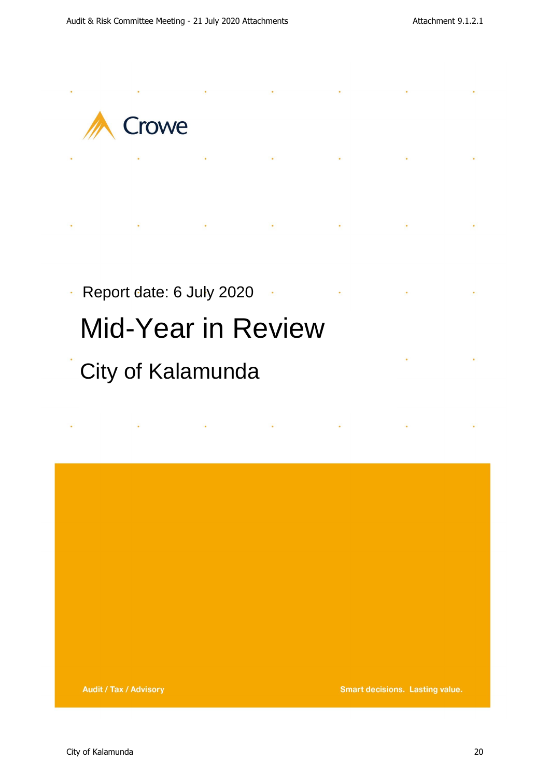$\sim$ 

the contract of the contract of the contract of the contract of



and a state of the

All and the control of the

 $\ddot{\phantom{a}}$ 

Report date: 6 July 2020 **Contract** Mid-Year in Review City of Kalamunda

the control of the control of the control of

 $\sim$ 

**Contractor** 

 $\mathcal{L}_{\mathcal{A}}$ 

 $\sim$ 

**Audit / Tax / Advisory Smart decisions. Lasting value.** 

 $\mathbf{a}$  . The contract of the contract of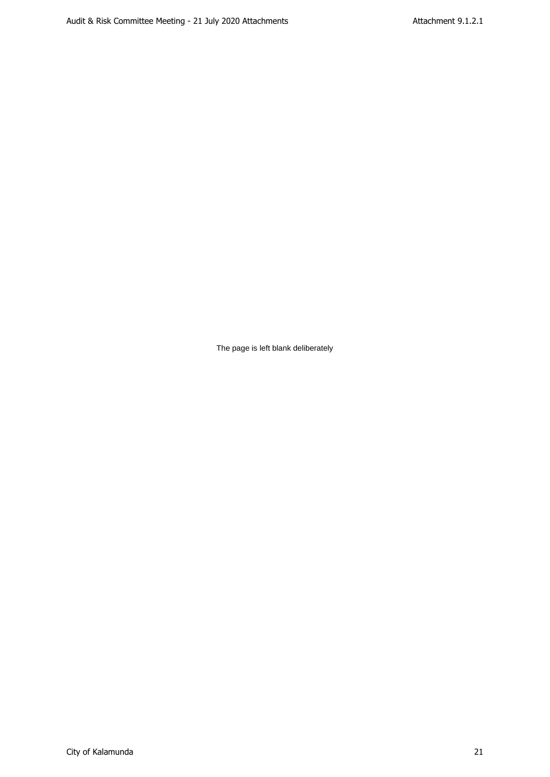The page is left blank deliberately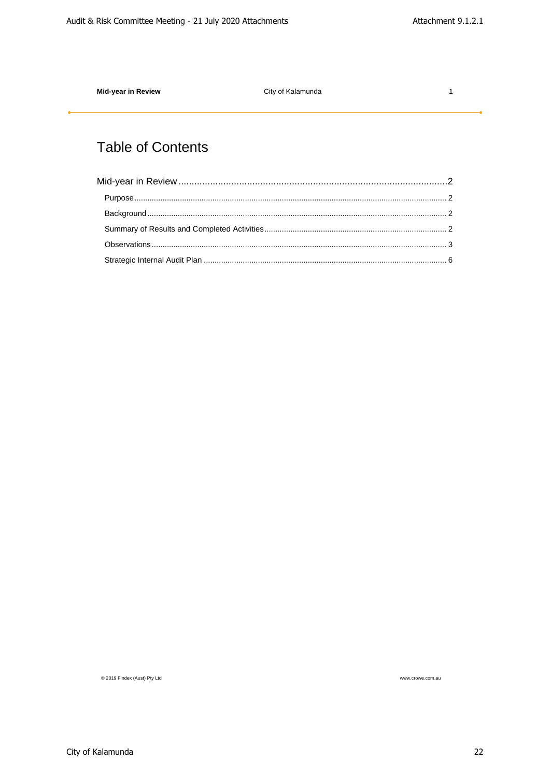Mid-year in Review City of Kalamunda  $\overline{1}$ **Table of Contents** 

C 2019 Findex (Aust) Pty Ltd

www.crowe.com.au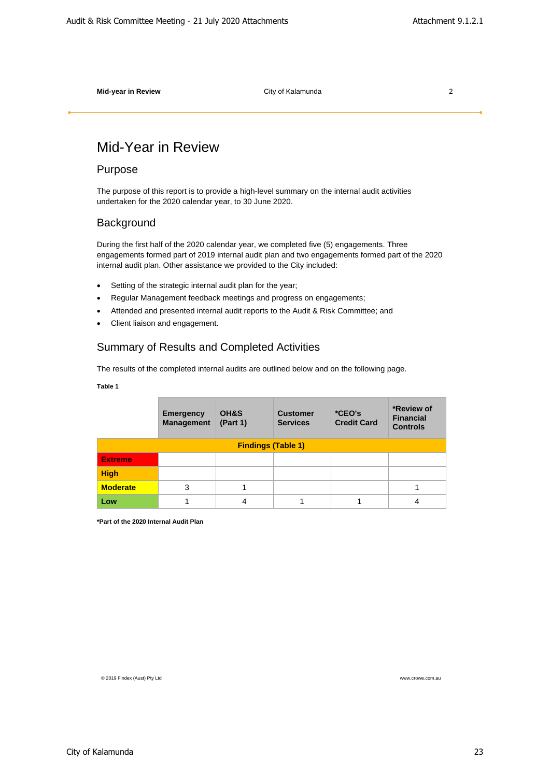<span id="page-3-0"></span>

| <b>Mid-year in Review</b> |               | City of Kalamunda |  |
|---------------------------|---------------|-------------------|--|
|                           |               |                   |  |
|                           |               |                   |  |
|                           |               |                   |  |
|                           | .<br>. .<br>- |                   |  |

# Mid-Year in Review

### Purpose

<span id="page-3-1"></span> $\bullet$ 

<span id="page-3-2"></span>The purpose of this report is to provide a high-level summary on the internal audit activities undertaken for the 2020 calendar year, to 30 June 2020.

#### **Background**

During the first half of the 2020 calendar year, we completed five (5) engagements. Three engagements formed part of 2019 internal audit plan and two engagements formed part of the 2020 internal audit plan. Other assistance we provided to the City included:

- Setting of the strategic internal audit plan for the year;
- Regular Management feedback meetings and progress on engagements;
- Attended and presented internal audit reports to the Audit & Risk Committee; and
- Client liaison and engagement.

## <span id="page-3-3"></span>Summary of Results and Completed Activities

The results of the completed internal audits are outlined below and on the following page.

**Table 1**

|                           | <b>Emergency</b><br><b>Management</b> | OH&S<br>(Part 1) | <b>Customer</b><br><b>Services</b> | <i><b>*CEO's</b></i><br><b>Credit Card</b> | *Review of<br><b>Financial</b><br><b>Controls</b> |  |
|---------------------------|---------------------------------------|------------------|------------------------------------|--------------------------------------------|---------------------------------------------------|--|
| <b>Findings (Table 1)</b> |                                       |                  |                                    |                                            |                                                   |  |
| <b>Extreme</b>            |                                       |                  |                                    |                                            |                                                   |  |
| <b>High</b>               |                                       |                  |                                    |                                            |                                                   |  |
| <b>Moderate</b>           | 3                                     |                  |                                    |                                            |                                                   |  |
| Low                       |                                       |                  |                                    |                                            |                                                   |  |

**\*Part of the 2020 Internal Audit Plan**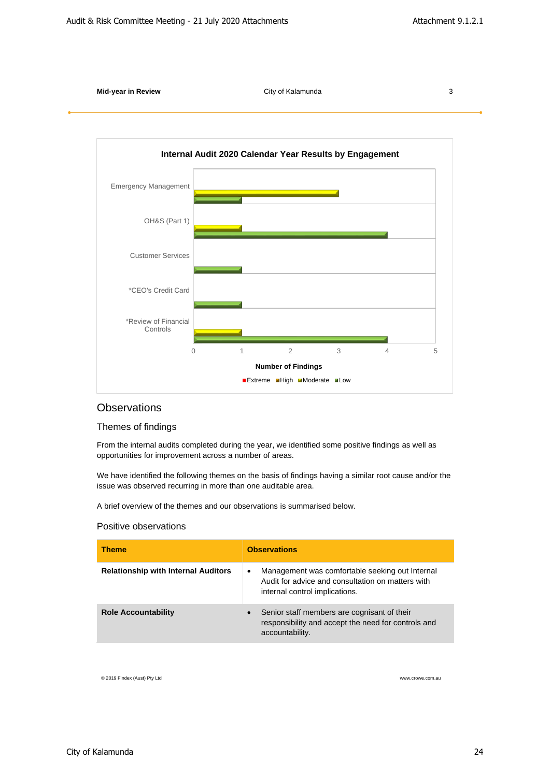

#### <span id="page-4-0"></span>**Observations**

#### Themes of findings

From the internal audits completed during the year, we identified some positive findings as well as opportunities for improvement across a number of areas.

We have identified the following themes on the basis of findings having a similar root cause and/or the issue was observed recurring in more than one auditable area.

A brief overview of the themes and our observations is summarised below.

#### Positive observations

| <b>Theme</b>                               | <b>Observations</b>                                                                                                                                 |  |
|--------------------------------------------|-----------------------------------------------------------------------------------------------------------------------------------------------------|--|
| <b>Relationship with Internal Auditors</b> | Management was comfortable seeking out Internal<br>$\bullet$<br>Audit for advice and consultation on matters with<br>internal control implications. |  |
| <b>Role Accountability</b>                 | Senior staff members are cognisant of their<br>$\bullet$<br>responsibility and accept the need for controls and<br>accountability.                  |  |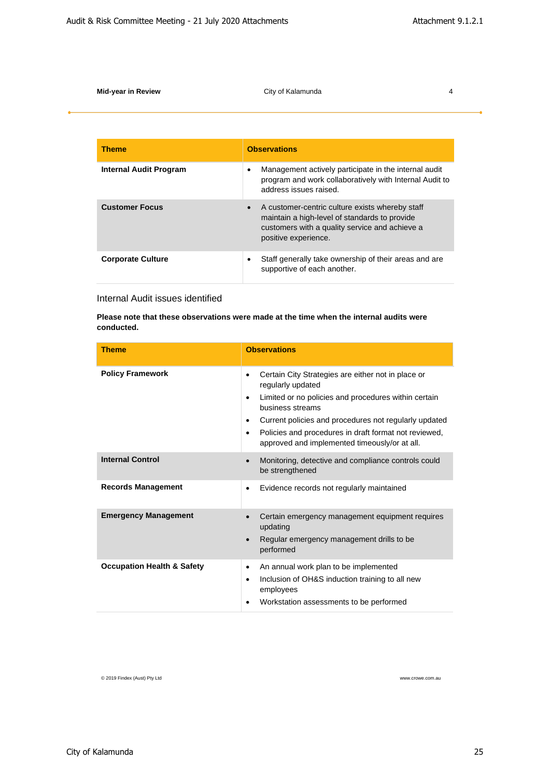**Mid-year in Review <br>
A** City of Kalamunda **1988** 

| <b>Theme</b>             | <b>Observations</b>                                                                                                                                                                     |  |  |
|--------------------------|-----------------------------------------------------------------------------------------------------------------------------------------------------------------------------------------|--|--|
| Internal Audit Program   | Management actively participate in the internal audit<br>٠<br>program and work collaboratively with Internal Audit to<br>address issues raised.                                         |  |  |
| <b>Customer Focus</b>    | A customer-centric culture exists whereby staff<br>$\bullet$<br>maintain a high-level of standards to provide<br>customers with a quality service and achieve a<br>positive experience. |  |  |
| <b>Corporate Culture</b> | Staff generally take ownership of their areas and are<br>٠<br>supportive of each another.                                                                                               |  |  |

#### Internal Audit issues identified

**Please note that these observations were made at the time when the internal audits were conducted.**

| <b>Theme</b>                          | <b>Observations</b>                                                                                                                                                                                                                                                                                                                                                |
|---------------------------------------|--------------------------------------------------------------------------------------------------------------------------------------------------------------------------------------------------------------------------------------------------------------------------------------------------------------------------------------------------------------------|
| <b>Policy Framework</b>               | Certain City Strategies are either not in place or<br>٠<br>regularly updated<br>Limited or no policies and procedures within certain<br>$\bullet$<br>business streams<br>Current policies and procedures not regularly updated<br>$\bullet$<br>Policies and procedures in draft format not reviewed,<br>$\bullet$<br>approved and implemented timeously/or at all. |
| <b>Internal Control</b>               | Monitoring, detective and compliance controls could<br>be strengthened                                                                                                                                                                                                                                                                                             |
| <b>Records Management</b>             | Evidence records not regularly maintained<br>٠                                                                                                                                                                                                                                                                                                                     |
| <b>Emergency Management</b>           | Certain emergency management equipment requires<br>updating<br>Regular emergency management drills to be<br>performed                                                                                                                                                                                                                                              |
| <b>Occupation Health &amp; Safety</b> | An annual work plan to be implemented<br>٠<br>Inclusion of OH&S induction training to all new<br>$\bullet$<br>employees<br>Workstation assessments to be performed                                                                                                                                                                                                 |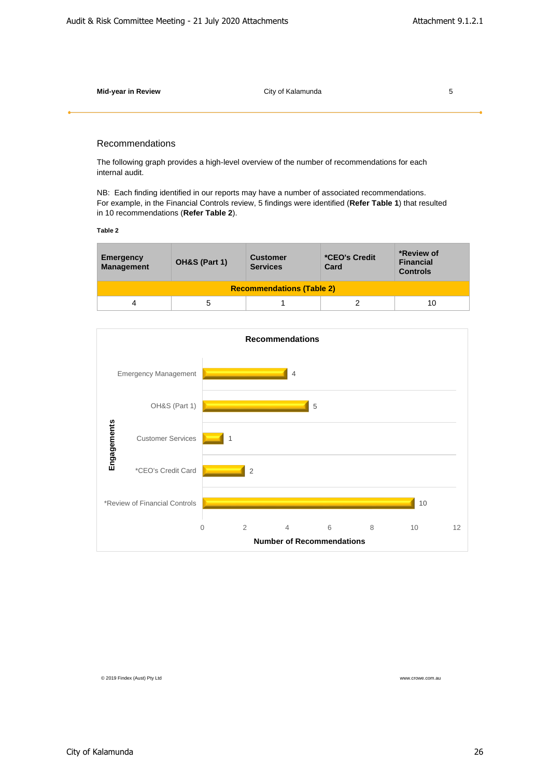| <b>Mid-year in Review</b> | City of Kalamunda | 5. |
|---------------------------|-------------------|----|
|                           |                   |    |
|                           |                   |    |
| Recommendations           |                   |    |

The following graph provides a high-level overview of the number of recommendations for each internal audit.

NB: Each finding identified in our reports may have a number of associated recommendations. For example, in the Financial Controls review, 5 findings were identified (**Refer Table 1**) that resulted in 10 recommendations (**Refer Table 2**).

**Table 2**

k



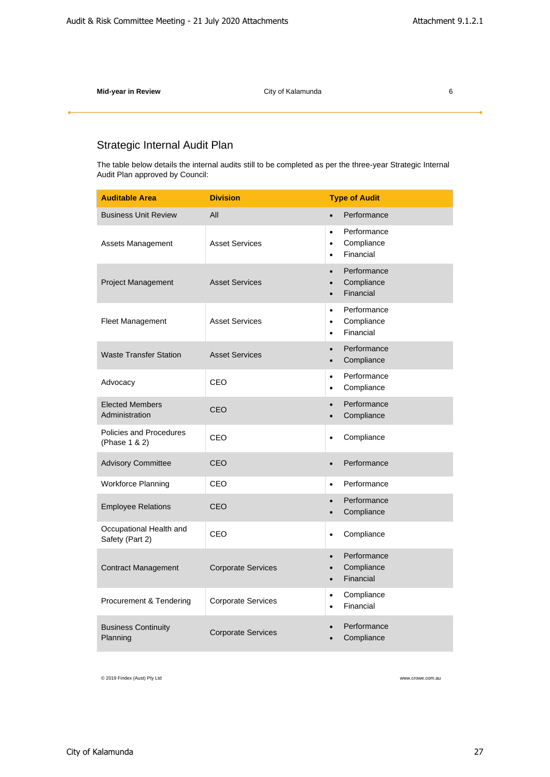<span id="page-7-0"></span>**Mid-year in Review <b>City of Kalamunda** 6 Strategic Internal Audit Plan

The table below details the internal audits still to be completed as per the three-year Strategic Internal Audit Plan approved by Council:

| <b>Auditable Area</b>                      | <b>Division</b>           | <b>Type of Audit</b>                                                          |
|--------------------------------------------|---------------------------|-------------------------------------------------------------------------------|
| <b>Business Unit Review</b>                | All                       | Performance                                                                   |
| Assets Management                          | <b>Asset Services</b>     | Performance<br>$\bullet$<br>Compliance<br>$\bullet$<br>Financial<br>$\bullet$ |
| Project Management                         | <b>Asset Services</b>     | Performance<br>$\bullet$<br>Compliance<br>Financial                           |
| <b>Fleet Management</b>                    | <b>Asset Services</b>     | Performance<br>$\bullet$<br>Compliance<br>$\bullet$<br>Financial<br>$\bullet$ |
| <b>Waste Transfer Station</b>              | <b>Asset Services</b>     | Performance<br>Compliance<br>$\bullet$                                        |
| Advocacy                                   | CEO                       | Performance<br>$\bullet$<br>Compliance<br>٠                                   |
| <b>Elected Members</b><br>Administration   | CEO                       | Performance<br>Compliance                                                     |
| Policies and Procedures<br>(Phase 1 & 2)   | CEO                       | Compliance<br>٠                                                               |
| <b>Advisory Committee</b>                  | CEO                       | Performance<br>$\bullet$                                                      |
| <b>Workforce Planning</b>                  | CEO                       | Performance<br>$\bullet$                                                      |
| <b>Employee Relations</b>                  | CEO                       | Performance<br>Compliance                                                     |
| Occupational Health and<br>Safety (Part 2) | CEO                       | Compliance<br>$\bullet$                                                       |
| <b>Contract Management</b>                 | <b>Corporate Services</b> | Performance<br>$\bullet$<br>Compliance<br>$\bullet$<br>Financial<br>$\bullet$ |
| Procurement & Tendering                    | <b>Corporate Services</b> | Compliance<br>$\bullet$<br>Financial<br>$\bullet$                             |
| <b>Business Continuity</b><br>Planning     | <b>Corporate Services</b> | Performance<br>Compliance                                                     |